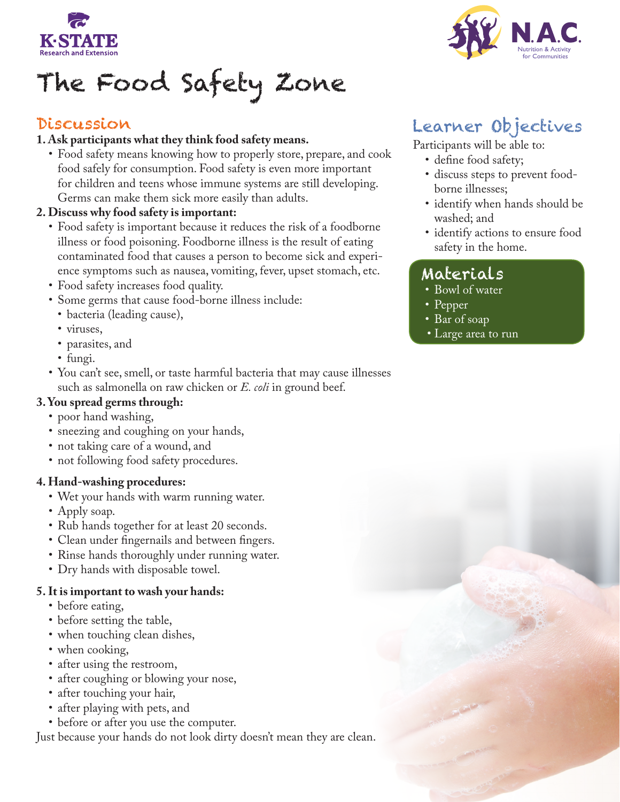

# The Food Safety Zone

### Discussion

### **1. Ask participants what they think food safety means.**

• Food safety means knowing how to properly store, prepare, and cook food safely for consumption. Food safety is even more important for children and teens whose immune systems are still developing. Germs can make them sick more easily than adults.

### **2. Discuss why food safety is important:**

- Food safety is important because it reduces the risk of a foodborne illness or food poisoning. Foodborne illness is the result of eating contaminated food that causes a person to become sick and experience symptoms such as nausea, vomiting, fever, upset stomach, etc.
- • Food safety increases food quality.
- • Some germs that cause food-borne illness include:
- bacteria (leading cause),
- viruses,
- parasites, and
- fungi.
- • You can't see, smell, or taste harmful bacteria that may cause illnesses such as salmonella on raw chicken or *E. coli* in ground beef.

### **3. You spread germs through:**

- poor hand washing,
- sneezing and coughing on your hands,
- not taking care of a wound, and
- not following food safety procedures.

#### **4. Hand-washing procedures:**

- Wet your hands with warm running water.
- Apply soap.
- Rub hands together for at least 20 seconds.
- Clean under fingernails and between fingers.
- Rinse hands thoroughly under running water.
- Dry hands with disposable towel.

#### **5. It is important to wash your hands:**

- before eating,
- before setting the table,
- when touching clean dishes,
- when cooking,
- after using the restroom,
- after coughing or blowing your nose,
- after touching your hair,
- after playing with pets, and
- before or after you use the computer.

Just because your hands do not look dirty doesn't mean they are clean.



# Learner Objectives

Participants will be able to:

- define food safety;
- discuss steps to prevent foodborne illnesses;
- identify when hands should be washed; and
- identify actions to ensure food safety in the home.

### Materials

- Bowl of water
- Pepper
- Bar of soap
- Large area to run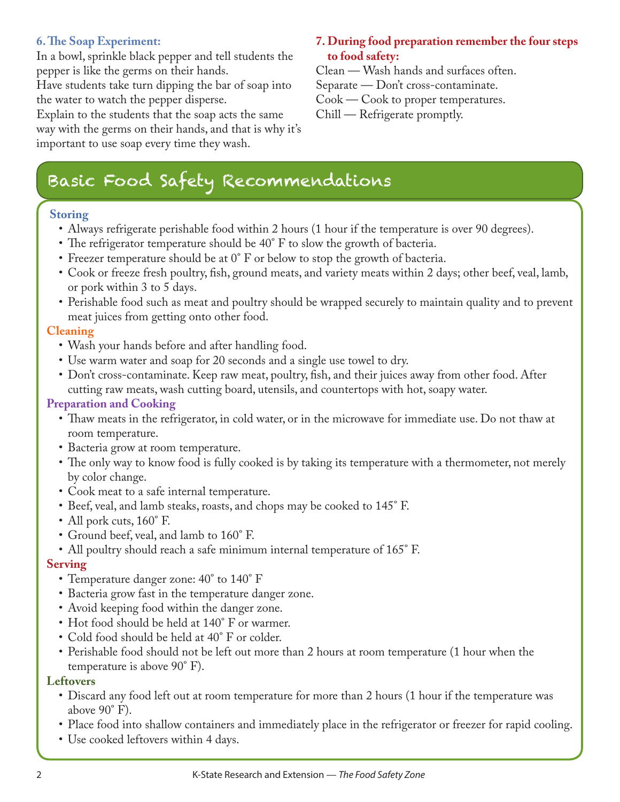### **6. The Soap Experiment:**

In a bowl, sprinkle black pepper and tell students the pepper is like the germs on their hands.

Have students take turn dipping the bar of soap into the water to watch the pepper disperse.

Explain to the students that the soap acts the same way with the germs on their hands, and that is why it's important to use soap every time they wash.

### **7. During food preparation remember the four steps to food safety:**

Clean — Wash hands and surfaces often.

Separate — Don't cross-contaminate.

Cook — Cook to proper temperatures.

Chill — Refrigerate promptly.

## Basic Food Safety Recommendations

### **Storing**

- Always refrigerate perishable food within 2 hours (1 hour if the temperature is over 90 degrees).
- The refrigerator temperature should be 40° F to slow the growth of bacteria.
- Freezer temperature should be at  $0^{\circ}$  F or below to stop the growth of bacteria.
- • Cook or freeze fresh poultry, fish, ground meats, and variety meats within 2 days; other beef, veal, lamb, or pork within 3 to 5 days.
- Perishable food such as meat and poultry should be wrapped securely to maintain quality and to prevent meat juices from getting onto other food.

### **Cleaning**

- Wash your hands before and after handling food.
- Use warm water and soap for 20 seconds and a single use towel to dry.
- Don't cross-contaminate. Keep raw meat, poultry, fish, and their juices away from other food. After cutting raw meats, wash cutting board, utensils, and countertops with hot, soapy water.

### **Preparation and Cooking**

- Thaw meats in the refrigerator, in cold water, or in the microwave for immediate use. Do not thaw at room temperature.
- Bacteria grow at room temperature.
- The only way to know food is fully cooked is by taking its temperature with a thermometer, not merely by color change.
- • Cook meat to a safe internal temperature.
- Beef, veal, and lamb steaks, roasts, and chops may be cooked to 145° F.
- All pork cuts,  $160^\circ$  F.
- Ground beef, veal, and lamb to  $160^{\circ}$  F.
- All poultry should reach a safe minimum internal temperature of 165° F.

### **Serving**

- Temperature danger zone: 40° to 140° F
- Bacteria grow fast in the temperature danger zone.
- Avoid keeping food within the danger zone.
- Hot food should be held at 140° F or warmer.
- Cold food should be held at 40° F or colder.
- • Perishable food should not be left out more than 2 hours at room temperature (1 hour when the temperature is above 90° F).

### **Leftovers**

- Discard any food left out at room temperature for more than 2 hours (1 hour if the temperature was above 90° F).
- Place food into shallow containers and immediately place in the refrigerator or freezer for rapid cooling.
- Use cooked leftovers within 4 days.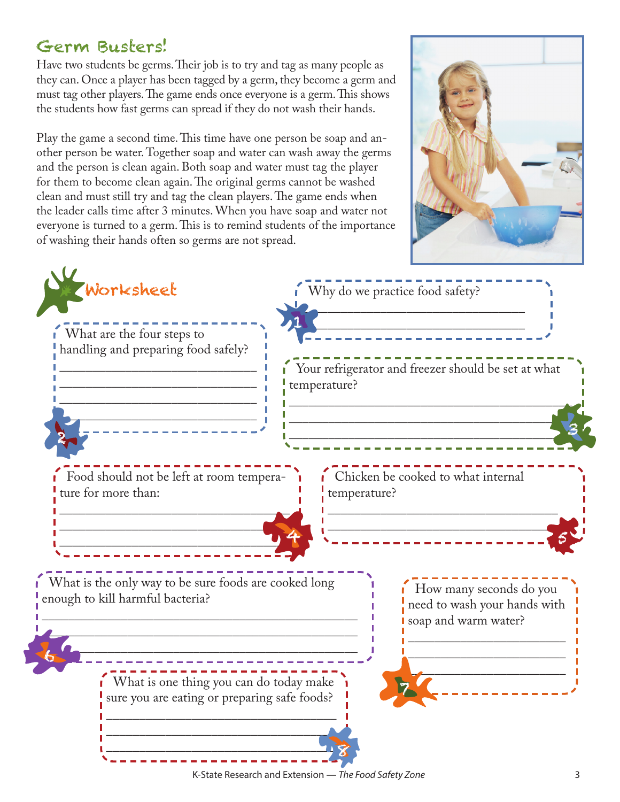### Germ Busters!

Have two students be germs.Their job is to try and tag as many people as they can. Once a player has been tagged by a germ, they become a germ and must tag other players.The game ends once everyone is a germ.This shows the students how fast germs can spread if they do not wash their hands.

Play the game a second time.This time have one person be soap and another person be water.Together soap and water can wash away the germs and the person is clean again. Both soap and water must tag the player for them to become clean again.The original germs cannot be washed clean and must still try and tag the clean players.The game ends when the leader calls time after 3 minutes.When you have soap and water not everyone is turned to a germ.This is to remind students of the importance of washing their hands often so germs are not spread.